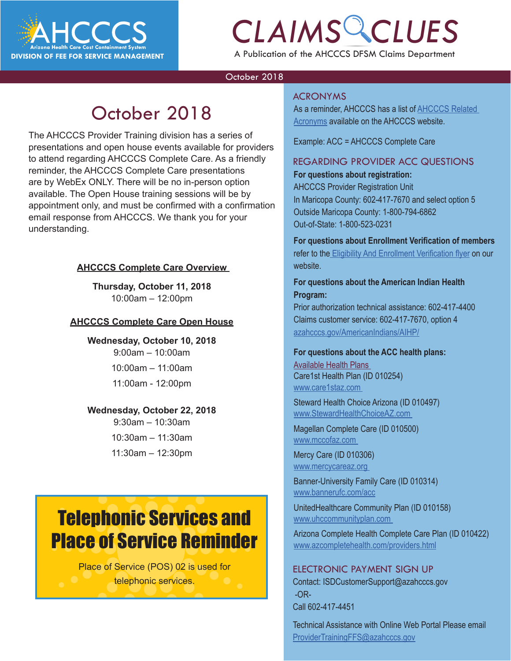

# *CLAIMS CLUES*

A Publication of the AHCCCS DFSM Claims Department

### October 2018

### October 2018

The AHCCCS Provider Training division has a series of presentations and open house events available for providers to attend regarding AHCCCS Complete Care. As a friendly reminder, the AHCCCS Complete Care presentations are by WebEx ONLY. There will be no in-person option available. The Open House training sessions will be by appointment only, and must be confirmed with a confirmation email response from AHCCCS. We thank you for your understanding.

### **AHCCCS Complete Care Overview**

**Thursday, October 11, 2018** 10:00am – 12:00pm

### **AHCCCS Complete Care Open House**

**Wednesday, October 10, 2018** 9:00am – 10:00am 10:00am – 11:00am

11:00am - 12:00pm

#### **Wednesday, October 22, 2018**

9:30am – 10:30am 10:30am – 11:30am 11:30am – 12:30pm

### Telephonic Services and Place of Service Reminder

Place of Service (POS) 02 is used for telephonic services.

#### ACRONYMS

As a reminder, AHCCCS has a list of <u>AHCCCS Related</u><br>
<u>Acronyms</u> available on the AHCCCS website. Acronyms available on the AHCCCS website.

Example: ACC = AHCCCS Complete Care

### REGARDING PROVIDER ACC QUESTIONS

**For questions about registration:**  AHCCCS Provider Registration Unit In Maricopa County: 602-417-7670 and select option 5 Outside Maricopa County: 1-800-794-6862 Out-of-State: 1-800-523-0231

**For questions about Enrollment Verification of members**  refer to the [Eligibility And Enrollment Verification flyer](https://www.azahcccs.gov/AHCCCS/Downloads/ACC/ACC_Eligibility_Enrollment_Verification.pdf) on our website.

### **For questions about the American Indian Health Program:**

Prior authorization technical assistance: 602-417-4400 Claims customer service: 602-417-7670, option 4 [azahcccs.gov/AmericanIndians/AIHP/](http://azahcccs.gov/AmericanIndians/AIHP/)

### **For questions about the ACC health plans:** Available Health Plans Care1st Health Plan (ID 010254) [www.care1staz.com](http://www.care1staz.com)

Steward Health Choice Arizona (ID 010497) [www.StewardHealthChoiceAZ.com](http://www.StewardHealthChoiceAZ.com)

Magellan Complete Care (ID 010500) [www.mccofaz.com](http://www.mccofaz.com) 

Mercy Care (ID 010306) [www.mercycareaz.org](http://www.mercycareaz.org) 

Banner-University Family Care (ID 010314) [www.bannerufc.com/acc](http://www.bannerufc.com/acc 
)

UnitedHealthcare Community Plan (ID 010158) [www.uhccommunityplan.com](http://www.mercycareaz.org) 

Arizona Complete Health Complete Care Plan (ID 010422) [www.azcompletehealth.com/providers.html](http://www.azcompletehealth.com/providers.html)

#### ELECTRONIC PAYMENT SIGN UP

Contact: ISDCustomerSupport@azahcccs.gov -OR-Call 602-417-4451

Technical Assistance with Online Web Portal Please email [ProviderTrainingFFS@azahcccs.gov](mailto:ProviderTrainingFFS%40azahcccs.gov?subject=)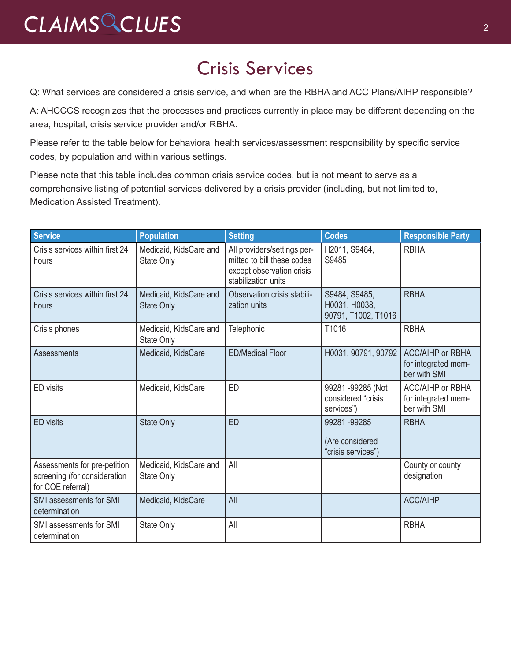### Crisis Services

Q: What services are considered a crisis service, and when are the RBHA and ACC Plans/AIHP responsible?

A: AHCCCS recognizes that the processes and practices currently in place may be different depending on the area, hospital, crisis service provider and/or RBHA.

Please refer to the table below for behavioral health services/assessment responsibility by specific service codes, by population and within various settings.

Please note that this table includes common crisis service codes, but is not meant to serve as a comprehensive listing of potential services delivered by a crisis provider (including, but not limited to, Medication Assisted Treatment).

| <b>Service</b>                                                                    | <b>Population</b>                           | <b>Setting</b>                                                                                                | <b>Codes</b>                                          | <b>Responsible Party</b>                                       |
|-----------------------------------------------------------------------------------|---------------------------------------------|---------------------------------------------------------------------------------------------------------------|-------------------------------------------------------|----------------------------------------------------------------|
| Crisis services within first 24<br>hours                                          | Medicaid, KidsCare and<br>State Only        | All providers/settings per-<br>mitted to bill these codes<br>except observation crisis<br>stabilization units | H2011, S9484,<br>S9485                                | <b>RBHA</b>                                                    |
| Crisis services within first 24<br>hours                                          | Medicaid, KidsCare and<br><b>State Only</b> | Observation crisis stabili-<br>zation units                                                                   | S9484, S9485,<br>H0031, H0038,<br>90791, T1002, T1016 | <b>RBHA</b>                                                    |
| Crisis phones                                                                     | Medicaid, KidsCare and<br>State Only        | Telephonic                                                                                                    | T1016                                                 | <b>RBHA</b>                                                    |
| <b>Assessments</b>                                                                | Medicaid, KidsCare                          | <b>ED/Medical Floor</b>                                                                                       | H0031, 90791, 90792                                   | <b>ACC/AIHP or RBHA</b><br>for integrated mem-<br>ber with SMI |
| ED visits                                                                         | Medicaid, KidsCare                          | ED                                                                                                            | 99281-99285 (Not<br>considered "crisis<br>services")  | <b>ACC/AIHP or RBHA</b><br>for integrated mem-<br>ber with SMI |
| <b>ED</b> visits                                                                  | <b>State Only</b>                           | <b>ED</b>                                                                                                     | 99281-99285<br>(Are considered<br>"crisis services")  | <b>RBHA</b>                                                    |
| Assessments for pre-petition<br>screening (for consideration<br>for COE referral) | Medicaid, KidsCare and<br>State Only        | All                                                                                                           |                                                       | County or county<br>designation                                |
| SMI assessments for SMI<br>determination                                          | Medicaid, KidsCare                          | All                                                                                                           |                                                       | <b>ACC/AIHP</b>                                                |
| SMI assessments for SMI<br>determination                                          | <b>State Only</b>                           | All                                                                                                           |                                                       | <b>RBHA</b>                                                    |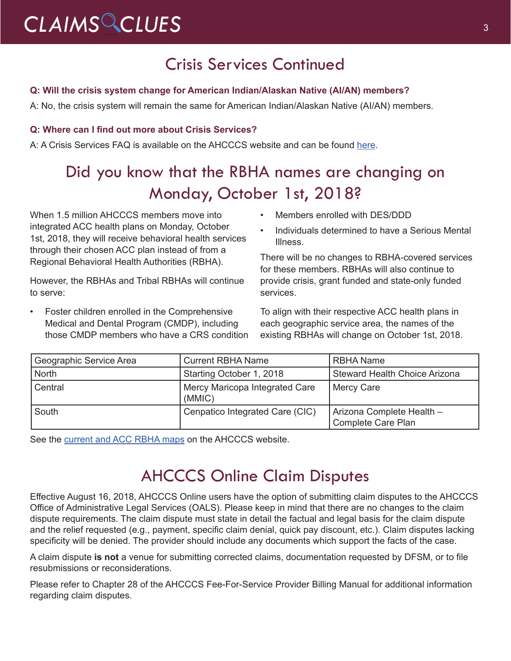# CLAIMS CLUES<sup>3</sup>

### Crisis Services Continued

### **Q: Will the crisis system change for American Indian/Alaskan Native (AI/AN) members?**

A: No, the crisis system will remain the same for American Indian/Alaskan Native (AI/AN) members.

### **Q: Where can I find out more about Crisis Services?**

A: A Crisis Services FAQ is available on the AHCCCS website and can be found [here.](http://r20.rs6.net/tn.jsp?f=001ofGfZetySTGWYet7bJGWig2cPK6xPmBEb-skjy7U1XMOybW85t9h1ruAEtqbFyvVkyo8NIkOYR0WBfVKtlyYqPp8HO8XjbOoWJ13klYBKLs7gwfY1wNM6l7OoT9nQ_SLmgBuC0TPhdo1fPjoZ3ZresQ0mLXs8iiC6Yq_NaDCl7tjmT9-_AA6JebG7FpcpS2su9kVqlTh7A_XbivBFb-WN1NMW86VGkO-&c=qMkcKItbqP4g5i3XVuc6DXCmpYLsrygZ_K3EP_ik-wfgItPRE8BeqQ==&ch=V-6_s_hRAPoaY9R0Zwtki8vGiqv0e0tMdRlGVLxEdlBbEQp2RSdHdw==)

### Did you know that the RBHA names are changing on Monday, October 1st, 2018?

When 1.5 million AHCCCS members move into integrated ACC health plans on Monday, October 1st, 2018, they will receive behavioral health services through their chosen ACC plan instead of from a Regional Behavioral Health Authorities (RBHA).

However, the RBHAs and Tribal RBHAs will continue to serve:

• Foster children enrolled in the Comprehensive Medical and Dental Program (CMDP), including those CMDP members who have a CRS condition

- Members enrolled with DES/DDD
- Individuals determined to have a Serious Mental Illness.

There will be no changes to RBHA-covered services for these members. RBHAs will also continue to provide crisis, grant funded and state-only funded services.

To align with their respective ACC health plans in each geographic service area, the names of the existing RBHAs will change on October 1st, 2018.

| Geographic Service Area | <b>Current RBHA Name</b>                 | <b>RBHA Name</b>                                |
|-------------------------|------------------------------------------|-------------------------------------------------|
| North                   | Starting October 1, 2018                 | Steward Health Choice Arizona                   |
| Central                 | Mercy Maricopa Integrated Care<br>(MMIC) | Mercy Care                                      |
| South                   | Cenpatico Integrated Care (CIC)          | Arizona Complete Health -<br>Complete Care Plan |

See the [current and ACC RBHA maps](http://www.azahcccs.gov/Members/ProgramsAndCoveredServices/behavioralhealthservicesmap.html) on the AHCCCS website.

### AHCCCS Online Claim Disputes

Effective August 16, 2018, AHCCCS Online users have the option of submitting claim disputes to the AHCCCS Office of Administrative Legal Services (OALS). Please keep in mind that there are no changes to the claim dispute requirements. The claim dispute must state in detail the factual and legal basis for the claim dispute and the relief requested (e.g., payment, specific claim denial, quick pay discount, etc.). Claim disputes lacking specificity will be denied. The provider should include any documents which support the facts of the case.

A claim dispute **is not** a venue for submitting corrected claims, documentation requested by DFSM, or to file resubmissions or reconsiderations.

Please refer to Chapter 28 of the AHCCCS Fee-For-Service Provider Billing Manual for additional information regarding claim disputes.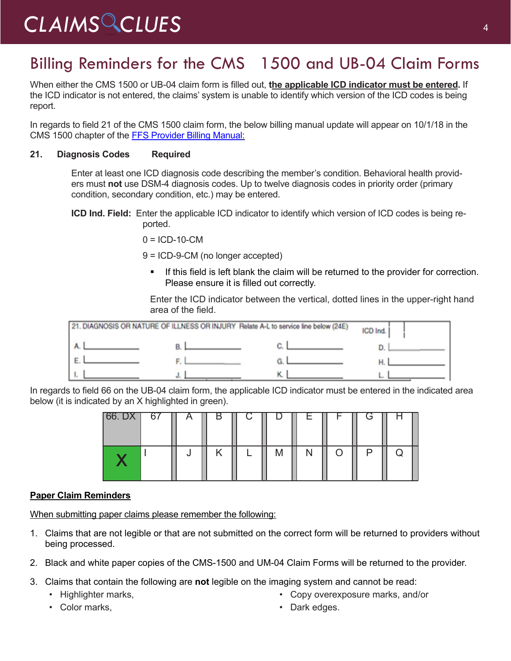### Billing Reminders for the CMS 1500 and UB-04 Claim Forms

When either the CMS 1500 or UB-04 claim form is filled out, **the applicable ICD indicator must be entered.** If the ICD indicator is not entered, the claims' system is unable to identify which version of the ICD codes is being report.

In regards to field 21 of the CMS 1500 claim form, the below billing manual update will appear on 10/1/18 in the CMS 1500 chapter of the [FFS Provider Billing Manual](https://www.azahcccs.gov/PlansProviders/RatesAndBilling/FFS/providermanual.htmlhttps:/www.azahcccs.gov/PlansProviders/RatesAndBilling/FFS/providermanual.html):

### **21. Diagnosis Codes Required**

Enter at least one ICD diagnosis code describing the member's condition. Behavioral health providers must **not** use DSM-4 diagnosis codes. Up to twelve diagnosis codes in priority order (primary condition, secondary condition, etc.) may be entered.

**ICD Ind. Field:** Enter the applicable ICD indicator to identify which version of ICD codes is being reported.

 $0 = ICD-10-CM$ 

9 = ICD-9-CM (no longer accepted)

If this field is left blank the claim will be returned to the provider for correction. Please ensure it is filled out correctly.

Enter the ICD indicator between the vertical, dotted lines in the upper-right hand area of the field.



In regards to field 66 on the UB-04 claim form, the applicable ICD indicator must be entered in the indicated area below (it is indicated by an X highlighted in green).

| $66.$ DX 67 | $\overline{A}$ | D | ◡ |   | <b>E</b> | $\mathbf{I}$ | C |  |
|-------------|----------------|---|---|---|----------|--------------|---|--|
|             |                |   |   | M |          |              |   |  |

### **Paper Claim Reminders**

When submitting paper claims please remember the following:

- 1. Claims that are not legible or that are not submitted on the correct form will be returned to providers without being processed.
- 2. Black and white paper copies of the CMS-1500 and UM-04 Claim Forms will be returned to the provider.
- 3. Claims that contain the following are **not** legible on the imaging system and cannot be read:
	- Highlighter marks,
	- Color marks,
- Copy overexposure marks, and/or
- Dark edges.